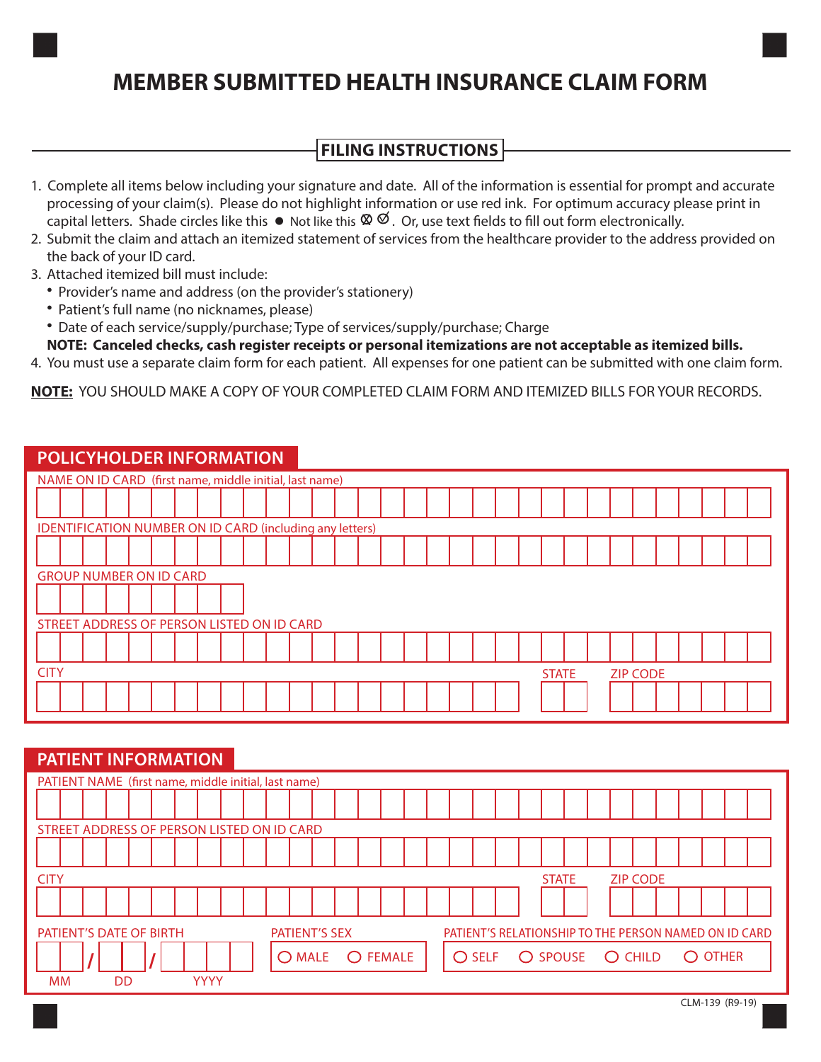# **MEMBER SUBMITTED HEALTH INSURANCE CLAIM FORM**

## **FILING INSTRUCTIONS**

- 1. Complete all items below including your signature and date. All of the information is essential for prompt and accurate processing of your claim(s). Please do not highlight information or use red ink. For optimum accuracy please print in capital letters. Shade circles like this  $\bullet$  Not like this  $\heartsuit\,\heartsuit$  . Or, use text fields to fill out form electronically.
- 2. Submit the claim and attach an itemized statement of services from the healthcare provider to the address provided on the back of your ID card.
- 3. Attached itemized bill must include:
	- Provider's name and address (on the provider's stationery)
	- Patient's full name (no nicknames, please)
	- Date of each service/supply/purchase; Type of services/supply/purchase; Charge
	- **NOTE: Canceled checks, cash register receipts or personal itemizations are not acceptable as itemized bills.**
- 4. You must use a separate claim form for each patient. All expenses for one patient can be submitted with one claim form.

**NOTE:** YOU SHOULD MAKE A COPY OF YOUR COMPLETED CLAIM FORM AND ITEMIZED BILLS FOR YOUR RECORDS.

## **POLICYHOLDER INFORMATION**

| NAME ON ID CARD (first name, middle initial, last name)  |  |  |  |  |  |  |  |  |
|----------------------------------------------------------|--|--|--|--|--|--|--|--|
|                                                          |  |  |  |  |  |  |  |  |
| IDENTIFICATION NUMBER ON ID CARD (including any letters) |  |  |  |  |  |  |  |  |
|                                                          |  |  |  |  |  |  |  |  |
| <b>GROUP NUMBER ON ID CARD</b>                           |  |  |  |  |  |  |  |  |
|                                                          |  |  |  |  |  |  |  |  |
| STREET ADDRESS OF PERSON LISTED ON ID CARD               |  |  |  |  |  |  |  |  |
|                                                          |  |  |  |  |  |  |  |  |
| <b>CITY</b><br><b>STATE</b><br><b>ZIP CODE</b>           |  |  |  |  |  |  |  |  |
|                                                          |  |  |  |  |  |  |  |  |

## **PATIENT INFORMATION**

| PATIENT NAME (first name, middle initial, last name)                                                            |    |  |  |             |  |  |  |  |  |                                                                                |                                 |  |  |  |  |  |  |  |  |  |  |  |  |  |  |
|-----------------------------------------------------------------------------------------------------------------|----|--|--|-------------|--|--|--|--|--|--------------------------------------------------------------------------------|---------------------------------|--|--|--|--|--|--|--|--|--|--|--|--|--|--|
|                                                                                                                 |    |  |  |             |  |  |  |  |  |                                                                                |                                 |  |  |  |  |  |  |  |  |  |  |  |  |  |  |
| STREET ADDRESS OF PERSON LISTED ON ID CARD                                                                      |    |  |  |             |  |  |  |  |  |                                                                                |                                 |  |  |  |  |  |  |  |  |  |  |  |  |  |  |
|                                                                                                                 |    |  |  |             |  |  |  |  |  |                                                                                |                                 |  |  |  |  |  |  |  |  |  |  |  |  |  |  |
| <b>CITY</b>                                                                                                     |    |  |  |             |  |  |  |  |  |                                                                                | <b>STATE</b><br><b>ZIP CODE</b> |  |  |  |  |  |  |  |  |  |  |  |  |  |  |
|                                                                                                                 |    |  |  |             |  |  |  |  |  |                                                                                |                                 |  |  |  |  |  |  |  |  |  |  |  |  |  |  |
| PATIENT'S RELATIONSHIP TO THE PERSON NAMED ON ID CARD<br><b>PATIENT'S DATE OF BIRTH</b><br><b>PATIENT'S SEX</b> |    |  |  |             |  |  |  |  |  |                                                                                |                                 |  |  |  |  |  |  |  |  |  |  |  |  |  |  |
| O FEMALE<br><b>MALE</b>                                                                                         |    |  |  |             |  |  |  |  |  | O CHILD<br>O SPOUSE<br><b>OTHER</b><br>$\bigcirc$<br><b>SELF</b><br>$\bigcirc$ |                                 |  |  |  |  |  |  |  |  |  |  |  |  |  |  |
| <b>MM</b>                                                                                                       | DD |  |  | <b>YYYY</b> |  |  |  |  |  |                                                                                |                                 |  |  |  |  |  |  |  |  |  |  |  |  |  |  |